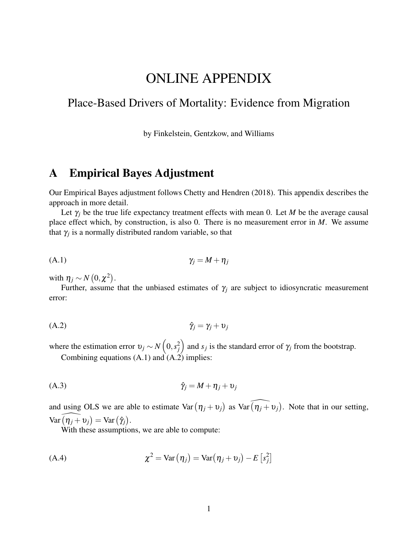# ONLINE APPENDIX

## Place-Based Drivers of Mortality: Evidence from Migration

by Finkelstein, Gentzkow, and Williams

## A Empirical Bayes Adjustment

Our Empirical Bayes adjustment follows Chetty and Hendren (2018). This appendix describes the approach in more detail.

Let  $\gamma_i$  be the true life expectancy treatment effects with mean 0. Let *M* be the average causal place effect which, by construction, is also 0. There is no measurement error in *M*. We assume that  $\gamma_j$  is a normally distributed random variable, so that

$$
\gamma_j = M + \eta_j
$$

with  $\eta_j \sim N(0, \chi^2)$ .

Further, assume that the unbiased estimates of  $\gamma_j$  are subject to idiosyncratic measurement error:

$$
\hat{\gamma}_j = \gamma_j + \upsilon_j
$$

where the estimation error  $v_j \sim N(0, s_j^2)$  and  $s_j$  is the standard error of  $\gamma_j$  from the bootstrap.

Combining equations  $(A.1)$  and  $(A.2)$  implies:

$$
\hat{\gamma}_j = M + \eta_j + \upsilon_j
$$

and using OLS we are able to estimate  $Var(\eta_j + v_j)$  as  $Var(\widehat{\eta_j + v_j})$ . Note that in our setting,  $Var\widehat{(\eta_j+v_j)} = Var(\hat{\gamma}_j).$ 

With these assumptions, we are able to compute:

(A.4) 
$$
\chi^2 = \text{Var}(\eta_j) = \text{Var}(\eta_j + \upsilon_j) - E[s_j^2]
$$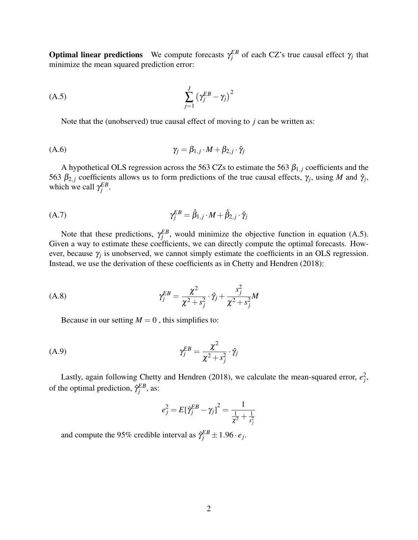**Optimal linear predictions** We compute forecasts  $\gamma_j^{EB}$  of each CZ's true causal effect  $\gamma_j$  that minimize the mean squared prediction error:

$$
\sum_{j=1}^{J} \left( \gamma_j^{EB} - \gamma_j \right)^2
$$

Note that the (unobserved) true causal effect of moving to *j* can be written as:

$$
\gamma_j = \beta_{1,j} \cdot M + \beta_{2,j} \cdot \hat{\gamma}_j
$$

A hypothetical OLS regression across the 563 CZs to estimate the 563  $\beta_{1,j}$  coefficients and the 563  $\beta_{2,j}$  coefficients allows us to form predictions of the true causal effects,  $\gamma_j$ , using *M* and  $\hat{\gamma}_j$ , which we call  $\gamma_j^{EB}$ .

$$
\gamma_j^{EB} = \hat{\beta}_{1,j} \cdot M + \hat{\beta}_{2,j} \cdot \hat{\gamma}_j
$$

Note that these predictions,  $\gamma_j^{EB}$ , would minimize the objective function in equation (A.5). Given a way to estimate these coefficients, we can directly compute the optimal forecasts. However, because  $\gamma_j$  is unobserved, we cannot simply estimate the coefficients in an OLS regression. Instead, we use the derivation of these coefficients as in Chetty and Hendren (2018):

(A.8) 
$$
\gamma_j^{EB} = \frac{\chi^2}{\chi^2 + s_j^2} \cdot \hat{\gamma}_j + \frac{s_j^2}{\chi^2 + s_j^2} M
$$

Because in our setting  $M = 0$ , this simplifies to:

$$
\gamma_j^{EB} = \frac{\chi^2}{\chi^2 + s_j^2} \cdot \hat{\gamma}_j
$$

Lastly, again following Chetty and Hendren (2018), we calculate the mean-squared error,  $e_j^2$ , of the optimal prediction,  $\hat{\gamma}_j^{EB}$ , as:

$$
e_j^2 = E[\hat{\gamma}_j^{EB} - \gamma_j]^2 = \frac{1}{\frac{1}{\chi^2} + \frac{1}{s_j^2}}
$$

and compute the 95% credible interval as  $\hat{\gamma}_j^{EB} \pm 1.96 \cdot e_j$ .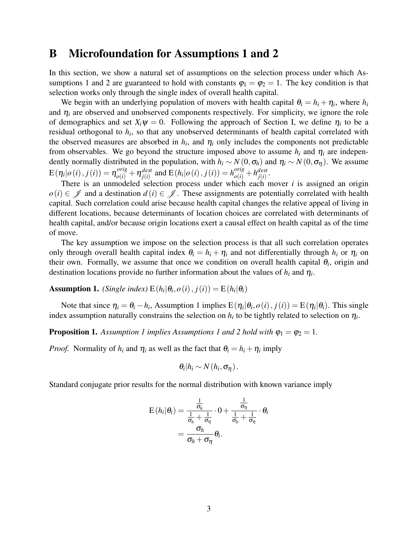## B Microfoundation for Assumptions 1 and 2

In this section, we show a natural set of assumptions on the selection process under which Assumptions 1 and 2 are guaranteed to hold with constants  $\varphi_1 = \varphi_2 = 1$ . The key condition is that selection works only through the single index of overall health capital.

We begin with an underlying population of movers with health capital  $\theta_i = h_i + \eta_i$ , where  $h_i$ and  $\eta_i$  are observed and unobserved components respectively. For simplicity, we ignore the role of demographics and set  $X_i \psi = 0$ . Following the approach of Section I, we define  $\eta_i$  to be a residual orthogonal to *h<sup>i</sup>* , so that any unobserved determinants of health capital correlated with the observed measures are absorbed in  $h_i$ , and  $\eta_i$  only includes the components not predictable from observables. We go beyond the structure imposed above to assume  $h_i$  and  $\eta_i$  are independently normally distributed in the population, with  $h_i \sim N(0, \sigma_h)$  and  $\eta_i \sim N(0, \sigma_{\eta})$ . We assume  $\text{E}\left(\eta_i|o\left(i\right),j\left(i\right)\right)=\eta_{o\left(i\right)}^{orig}+\eta_{j\left(i\right)}^{dest}$  $j^{dest}_{j(i)}$  and  $\text{E}(h_i|o(i), j(i)) = h^{orig}_{o(i)} + h^{dest}_{j(i)}$ *j*(*i*) .

There is an unmodeled selection process under which each mover *i* is assigned an origin *o*(*i*) ∈  $\mathscr I$  and a destination  $d(i) \in \mathscr I$ . These assignments are potentially correlated with health capital. Such correlation could arise because health capital changes the relative appeal of living in different locations, because determinants of location choices are correlated with determinants of health capital, and/or because origin locations exert a causal effect on health capital as of the time of move.

The key assumption we impose on the selection process is that all such correlation operates only through overall health capital index  $\theta_i = h_i + \eta_i$  and not differentially through  $h_i$  or  $\eta_i$  on their own. Formally, we assume that once we condition on overall health capital  $\theta_i$ , origin and destination locations provide no further information about the values of  $h_i$  and  $\eta_i$ .

**Assumption 1.** *(Single index)*  $E(h_i|\theta_i, o(i), j(i)) = E(h_i|\theta_i)$ 

Note that since  $\eta_i = \theta_i - h_i$ , Assumption 1 implies  $E(\eta_i | \theta_i, o(i), j(i)) = E(\eta_i | \theta_i)$ . This single index assumption naturally constrains the selection on  $h_i$  to be tightly related to selection on  $\eta_i$ .

**Proposition 1.** Assumption 1 implies Assumptions 1 and 2 hold with  $\varphi_1 = \varphi_2 = 1$ .

*Proof.* Normality of  $h_i$  and  $\eta_i$  as well as the fact that  $\theta_i = h_i + \eta_i$  imply

$$
\theta_i|h_i \sim N(h_i, \sigma_\eta).
$$

Standard conjugate prior results for the normal distribution with known variance imply

$$
\mathrm{E}(h_i|\theta_i) = \frac{\frac{1}{\sigma_h}}{\frac{1}{\sigma_h} + \frac{1}{\sigma_\eta}} \cdot 0 + \frac{\frac{1}{\sigma_\eta}}{\frac{1}{\sigma_h} + \frac{1}{\sigma_\eta}} \cdot \theta_i
$$
\n
$$
= \frac{\sigma_h}{\sigma_h + \sigma_\eta} \theta_i.
$$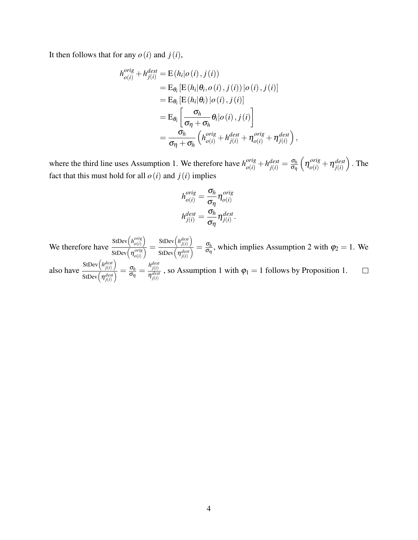It then follows that for any  $o(i)$  and  $j(i)$ ,

$$
h_{o(i)}^{orig} + h_{j(i)}^{dest} = E(h_i|o(i), j(i))
$$
  
\n
$$
= E_{\theta_i} [E(h_i|\theta_i, o(i), j(i)) | o(i), j(i)]
$$
  
\n
$$
= E_{\theta_i} [E(h_i|\theta_i) | o(i), j(i)]
$$
  
\n
$$
= E_{\theta_i} \left[ \frac{\sigma_h}{\sigma_\eta + \sigma_h} \theta_i | o(i), j(i) \right]
$$
  
\n
$$
= \frac{\sigma_h}{\sigma_\eta + \sigma_h} \left( h_{o(i)}^{orig} + h_{j(i)}^{dest} + \eta_{o(i)}^{orig} + \eta_{j(i)}^{dest} \right),
$$

where the third line uses Assumption 1. We therefore have  $h_{o(i)}^{orig} + h_{j(i)}^{dest} = \frac{\sigma_h}{\sigma_{\eta}}$ ση  $\left(\eta_{o(i)}^{orig} + \eta_{j(i)}^{dest}\right)$ *j*(*i*)  $\big)$ . The fact that this must hold for all  $o(i)$  and  $j(i)$  implies

$$
h_{o(i)}^{orig} = \frac{\sigma_h}{\sigma_\eta} \eta_{o(i)}^{orig}
$$

$$
h_{j(i)}^{dest} = \frac{\sigma_h}{\sigma_\eta} \eta_{j(i)}^{dest}.
$$

 $StDev(*h*<sub>o(i)</sub><sup>orig</sup>)$  $\binom{orig}{o(i)}$ StDev $\left(h_{j(i)}^{dest}\right)$  $\frac{\sigma_h}{\text{StDev}\left(\eta_{j(i)}^{dest}\right)} = \frac{\sigma_h}{\sigma_\eta}$  $\frac{\frac{o(i)}{orig}}{o(i)} =$  $\frac{\sigma_h}{\sigma_{\eta}}$ , which implies Assumption 2 with  $\varphi_2 = 1$ . We We therefore have StDev $\left(\eta_{o(i)}^{orig}\right)$  $\text{StDev}\left(h_{j(i)}^{dest}\right)$  $\frac{\sigma_h}{\sigma_{\eta}} = \frac{h_{j(i)}^{dest}}{\eta_{j(i)}^{des}}$  $\frac{\partial \text{Eev}(\hat{n}_{j(i)})}{\partial \text{StDev}(\hat{n}_{j(i)}^{dest})} = \frac{\sigma_h}{\sigma_h}$ also have  $\frac{d\mathcal{L}_{g(t)}}{\eta_{f(t)}^{dest}}$ , so Assumption 1 with  $\varphi_1 = 1$  follows by Proposition 1.  $\Box$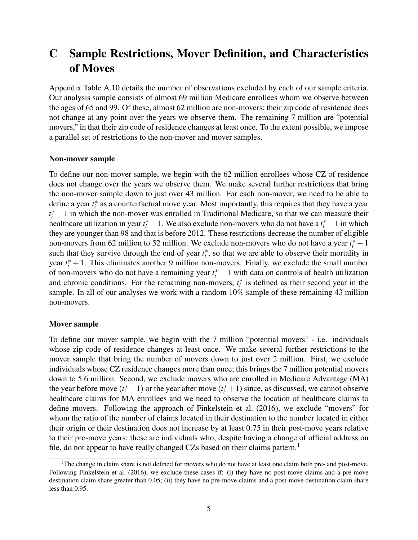# C Sample Restrictions, Mover Definition, and Characteristics of Moves

Appendix Table A.10 details the number of observations excluded by each of our sample criteria. Our analysis sample consists of almost 69 million Medicare enrollees whom we observe between the ages of 65 and 99. Of these, almost 62 million are non-movers; their zip code of residence does not change at any point over the years we observe them. The remaining 7 million are "potential movers," in that their zip code of residence changes at least once. To the extent possible, we impose a parallel set of restrictions to the non-mover and mover samples.

#### Non-mover sample

To define our non-mover sample, we begin with the 62 million enrollees whose CZ of residence does not change over the years we observe them. We make several further restrictions that bring the non-mover sample down to just over 43 million. For each non-mover, we need to be able to define a year  $t_i^*$  as a counterfactual move year. Most importantly, this requires that they have a year  $t_i^*$  − 1 in which the non-mover was enrolled in Traditional Medicare, so that we can measure their healthcare utilization in year  $t_i^* - 1$ . We also exclude non-movers who do not have a  $t_i^* - 1$  in which they are younger than 98 and that is before 2012. These restrictions decrease the number of eligible non-movers from 62 million to 52 million. We exclude non-movers who do not have a year  $t_i^*$  – 1 such that they survive through the end of year  $t_i^*$ , so that we are able to observe their mortality in year  $t_i^* + 1$ . This eliminates another 9 million non-movers. Finally, we exclude the small number of non-movers who do not have a remaining year  $t_i^*$  − 1 with data on controls of health utilization and chronic conditions. For the remaining non-movers,  $t_i^*$  is defined as their second year in the sample. In all of our analyses we work with a random  $10\%$  sample of these remaining 43 million non-movers.

#### Mover sample

To define our mover sample, we begin with the 7 million "potential movers" - i.e. individuals whose zip code of residence changes at least once. We make several further restrictions to the mover sample that bring the number of movers down to just over 2 million. First, we exclude individuals whose CZ residence changes more than once; this brings the 7 million potential movers down to 5.6 million. Second, we exclude movers who are enrolled in Medicare Advantage (MA) the year before move  $(t_i^* - 1)$  or the year after move  $(t_i^* + 1)$  since, as discussed, we cannot observe healthcare claims for MA enrollees and we need to observe the location of healthcare claims to define movers. Following the approach of Finkelstein et al. (2016), we exclude "movers" for whom the ratio of the number of claims located in their destination to the number located in either their origin or their destination does not increase by at least 0.75 in their post-move years relative to their pre-move years; these are individuals who, despite having a change of official address on file, do not appear to have really changed CZs based on their claims pattern.<sup>1</sup>

<sup>&</sup>lt;sup>1</sup>The change in claim share is not defined for movers who do not have at least one claim both pre- and post-move. Following Finkelstein et al. (2016), we exclude these cases if: (i) they have no post-move claims and a pre-move destination claim share greater than 0.05; (ii) they have no pre-move claims and a post-move destination claim share less than 0.95.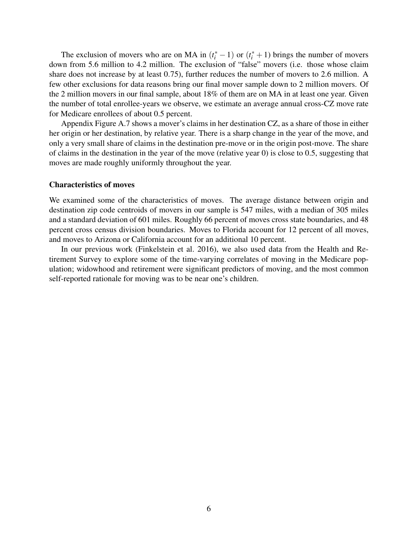The exclusion of movers who are on MA in  $(t_i^* - 1)$  or  $(t_i^* + 1)$  brings the number of movers down from 5.6 million to 4.2 million. The exclusion of "false" movers (i.e. those whose claim share does not increase by at least 0.75), further reduces the number of movers to 2.6 million. A few other exclusions for data reasons bring our final mover sample down to 2 million movers. Of the 2 million movers in our final sample, about 18% of them are on MA in at least one year. Given the number of total enrollee-years we observe, we estimate an average annual cross-CZ move rate for Medicare enrollees of about 0.5 percent.

Appendix Figure A.7 shows a mover's claims in her destination CZ, as a share of those in either her origin or her destination, by relative year. There is a sharp change in the year of the move, and only a very small share of claims in the destination pre-move or in the origin post-move. The share of claims in the destination in the year of the move (relative year 0) is close to 0.5, suggesting that moves are made roughly uniformly throughout the year.

#### Characteristics of moves

We examined some of the characteristics of moves. The average distance between origin and destination zip code centroids of movers in our sample is 547 miles, with a median of 305 miles and a standard deviation of 601 miles. Roughly 66 percent of moves cross state boundaries, and 48 percent cross census division boundaries. Moves to Florida account for 12 percent of all moves, and moves to Arizona or California account for an additional 10 percent.

In our previous work (Finkelstein et al. 2016), we also used data from the Health and Retirement Survey to explore some of the time-varying correlates of moving in the Medicare population; widowhood and retirement were significant predictors of moving, and the most common self-reported rationale for moving was to be near one's children.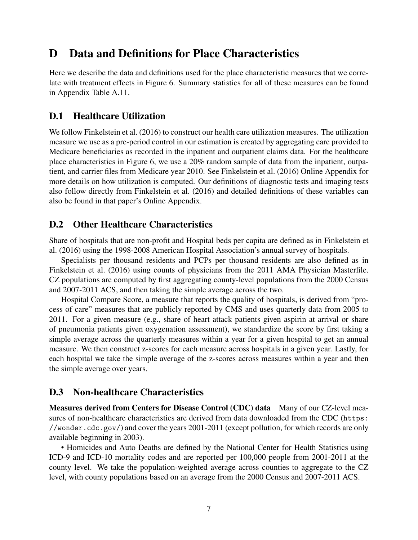## D Data and Definitions for Place Characteristics

Here we describe the data and definitions used for the place characteristic measures that we correlate with treatment effects in Figure 6. Summary statistics for all of these measures can be found in Appendix Table A.11.

### D.1 Healthcare Utilization

We follow Finkelstein et al. (2016) to construct our health care utilization measures. The utilization measure we use as a pre-period control in our estimation is created by aggregating care provided to Medicare beneficiaries as recorded in the inpatient and outpatient claims data. For the healthcare place characteristics in Figure 6, we use a 20% random sample of data from the inpatient, outpatient, and carrier files from Medicare year 2010. See Finkelstein et al. (2016) Online Appendix for more details on how utilization is computed. Our definitions of diagnostic tests and imaging tests also follow directly from Finkelstein et al. (2016) and detailed definitions of these variables can also be found in that paper's Online Appendix.

### D.2 Other Healthcare Characteristics

Share of hospitals that are non-profit and Hospital beds per capita are defined as in Finkelstein et al. (2016) using the 1998-2008 American Hospital Association's annual survey of hospitals.

Specialists per thousand residents and PCPs per thousand residents are also defined as in Finkelstein et al. (2016) using counts of physicians from the 2011 AMA Physician Masterfile. CZ populations are computed by first aggregating county-level populations from the 2000 Census and 2007-2011 ACS, and then taking the simple average across the two.

Hospital Compare Score, a measure that reports the quality of hospitals, is derived from "process of care" measures that are publicly reported by CMS and uses quarterly data from 2005 to 2011. For a given measure (e.g., share of heart attack patients given aspirin at arrival or share of pneumonia patients given oxygenation assessment), we standardize the score by first taking a simple average across the quarterly measures within a year for a given hospital to get an annual measure. We then construct z-scores for each measure across hospitals in a given year. Lastly, for each hospital we take the simple average of the z-scores across measures within a year and then the simple average over years.

### D.3 Non-healthcare Characteristics

Measures derived from Centers for Disease Control (CDC) data Many of our CZ-level measures of non-healthcare characteristics are derived from data downloaded from the CDC (https: //wonder.cdc.gov/) and cover the years 2001-2011 (except pollution, for which records are only available beginning in 2003).

• Homicides and Auto Deaths are defined by the National Center for Health Statistics using ICD-9 and ICD-10 mortality codes and are reported per 100,000 people from 2001-2011 at the county level. We take the population-weighted average across counties to aggregate to the CZ level, with county populations based on an average from the 2000 Census and 2007-2011 ACS.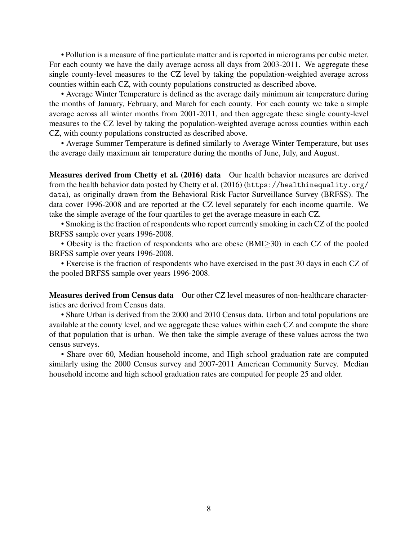• Pollution is a measure of fine particulate matter and is reported in micrograms per cubic meter. For each county we have the daily average across all days from 2003-2011. We aggregate these single county-level measures to the CZ level by taking the population-weighted average across counties within each CZ, with county populations constructed as described above.

• Average Winter Temperature is defined as the average daily minimum air temperature during the months of January, February, and March for each county. For each county we take a simple average across all winter months from 2001-2011, and then aggregate these single county-level measures to the CZ level by taking the population-weighted average across counties within each CZ, with county populations constructed as described above.

• Average Summer Temperature is defined similarly to Average Winter Temperature, but uses the average daily maximum air temperature during the months of June, July, and August.

Measures derived from Chetty et al. (2016) data Our health behavior measures are derived from the health behavior data posted by Chetty et al. (2016) (https://healthinequality.org/ data), as originally drawn from the Behavioral Risk Factor Surveillance Survey (BRFSS). The data cover 1996-2008 and are reported at the CZ level separately for each income quartile. We take the simple average of the four quartiles to get the average measure in each CZ.

• Smoking is the fraction of respondents who report currently smoking in each CZ of the pooled BRFSS sample over years 1996-2008.

• Obesity is the fraction of respondents who are obese ( $BMI \geq 30$ ) in each CZ of the pooled BRFSS sample over years 1996-2008.

• Exercise is the fraction of respondents who have exercised in the past 30 days in each CZ of the pooled BRFSS sample over years 1996-2008.

Measures derived from Census data Our other CZ level measures of non-healthcare characteristics are derived from Census data.

• Share Urban is derived from the 2000 and 2010 Census data. Urban and total populations are available at the county level, and we aggregate these values within each CZ and compute the share of that population that is urban. We then take the simple average of these values across the two census surveys.

• Share over 60, Median household income, and High school graduation rate are computed similarly using the 2000 Census survey and 2007-2011 American Community Survey. Median household income and high school graduation rates are computed for people 25 and older.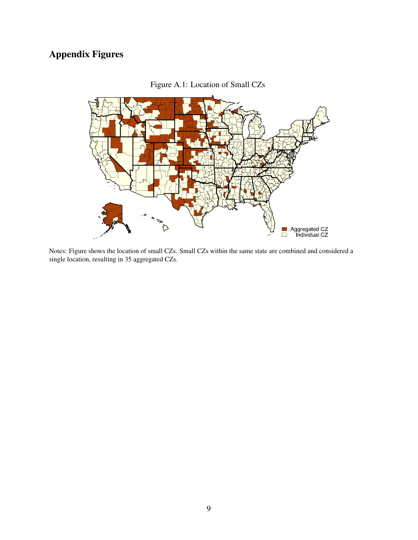# Appendix Figures



Figure A.1: Location of Small CZs

Notes: Figure shows the location of small CZs. Small CZs within the same state are combined and considered a single location, resulting in 35 aggregated CZs.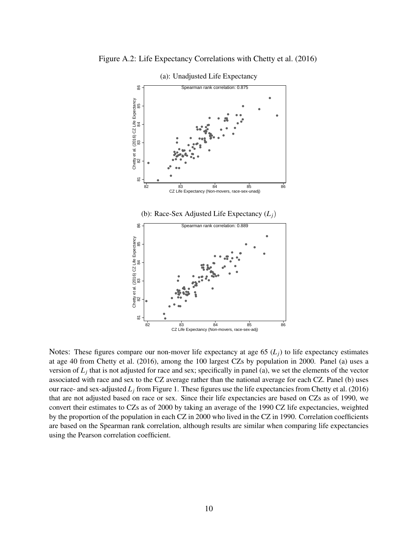

Figure A.2: Life Expectancy Correlations with Chetty et al. (2016)

Notes: These figures compare our non-mover life expectancy at age 65  $(L_i)$  to life expectancy estimates at age 40 from Chetty et al. (2016), among the 100 largest CZs by population in 2000. Panel (a) uses a version of *L<sup>j</sup>* that is not adjusted for race and sex; specifically in panel (a), we set the elements of the vector associated with race and sex to the CZ average rather than the national average for each CZ. Panel (b) uses our race- and sex-adjusted  $L_j$  from Figure 1. These figures use the life expectancies from Chetty et al. (2016) that are not adjusted based on race or sex. Since their life expectancies are based on CZs as of 1990, we convert their estimates to CZs as of 2000 by taking an average of the 1990 CZ life expectancies, weighted by the proportion of the population in each CZ in 2000 who lived in the CZ in 1990. Correlation coefficients are based on the Spearman rank correlation, although results are similar when comparing life expectancies using the Pearson correlation coefficient.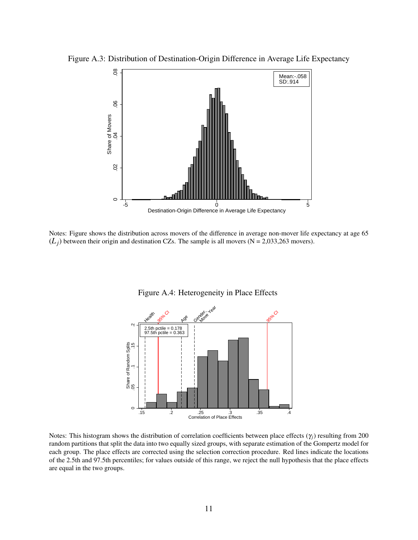

Figure A.3: Distribution of Destination-Origin Difference in Average Life Expectancy

Notes: Figure shows the distribution across movers of the difference in average non-mover life expectancy at age 65  $(L_i)$  between their origin and destination CZs. The sample is all movers (N = 2,033,263 movers).



Figure A.4: Heterogeneity in Place Effects

Notes: This histogram shows the distribution of correlation coefficients between place effects  $(\gamma_i)$  resulting from 200 random partitions that split the data into two equally sized groups, with separate estimation of the Gompertz model for each group. The place effects are corrected using the selection correction procedure. Red lines indicate the locations of the 2.5th and 97.5th percentiles; for values outside of this range, we reject the null hypothesis that the place effects are equal in the two groups.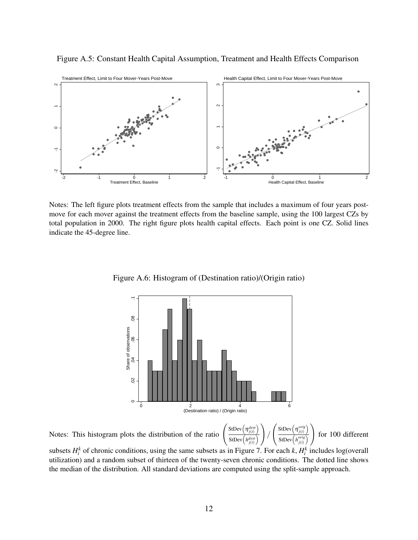

Figure A.5: Constant Health Capital Assumption, Treatment and Health Effects Comparison

Notes: The left figure plots treatment effects from the sample that includes a maximum of four years postmove for each mover against the treatment effects from the baseline sample, using the 100 largest CZs by total population in 2000. The right figure plots health capital effects. Each point is one CZ. Solid lines indicate the 45-degree line.



Figure A.6: Histogram of (Destination ratio)/(Origin ratio)

Notes: This histogram plots the distribution of the ratio



subsets  $H_i^k$  of chronic conditions, using the same subsets as in Figure 7. For each *k*,  $H_i^k$  includes log(overall utilization) and a random subset of thirteen of the twenty-seven chronic conditions. The dotted line shows the median of the distribution. All standard deviations are computed using the split-sample approach.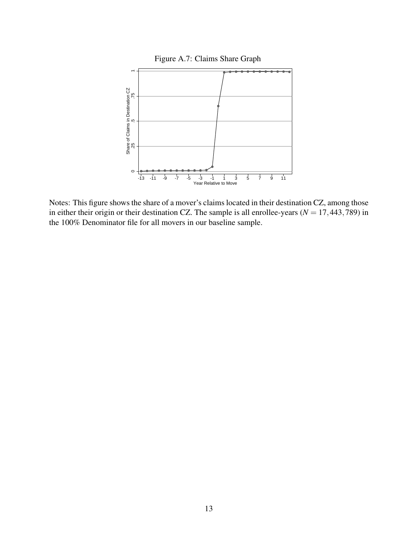

Notes: This figure shows the share of a mover's claims located in their destination CZ, among those in either their origin or their destination CZ. The sample is all enrollee-years ( $N = 17,443,789$ ) in the 100% Denominator file for all movers in our baseline sample.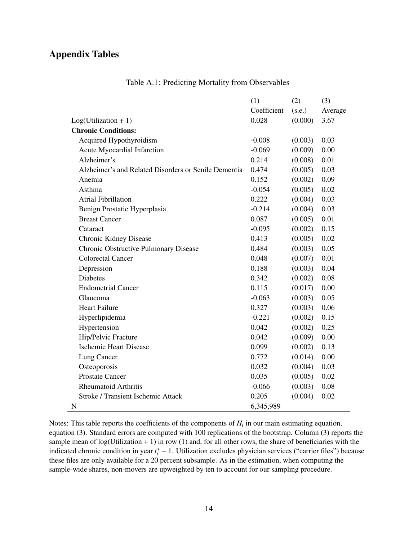### Appendix Tables

|                                                      | (1)         | (2)     | (3)     |
|------------------------------------------------------|-------------|---------|---------|
|                                                      | Coefficient | (s.e.)  | Average |
| $Log(Utilization + 1)$                               | 0.028       | (0.000) | 3.67    |
| <b>Chronic Conditions:</b>                           |             |         |         |
| Acquired Hypothyroidism                              | $-0.008$    | (0.003) | 0.03    |
| Acute Myocardial Infarction                          | $-0.069$    | (0.009) | 0.00    |
| Alzheimer's                                          | 0.214       | (0.008) | 0.01    |
| Alzheimer's and Related Disorders or Senile Dementia | 0.474       | (0.005) | 0.03    |
| Anemia                                               | 0.152       | (0.002) | 0.09    |
| Asthma                                               | $-0.054$    | (0.005) | 0.02    |
| <b>Atrial Fibrillation</b>                           | 0.222       | (0.004) | 0.03    |
| Benign Prostatic Hyperplasia                         | $-0.214$    | (0.004) | 0.03    |
| <b>Breast Cancer</b>                                 | 0.087       | (0.005) | 0.01    |
| Cataract                                             | $-0.095$    | (0.002) | 0.15    |
| Chronic Kidney Disease                               | 0.413       | (0.005) | 0.02    |
| Chronic Obstructive Pulmonary Disease                | 0.484       | (0.003) | 0.05    |
| <b>Colorectal Cancer</b>                             | 0.048       | (0.007) | 0.01    |
| Depression                                           | 0.188       | (0.003) | 0.04    |
| <b>Diabetes</b>                                      | 0.342       | (0.002) | 0.08    |
| <b>Endometrial Cancer</b>                            | 0.115       | (0.017) | 0.00    |
| Glaucoma                                             | $-0.063$    | (0.003) | 0.05    |
| <b>Heart Failure</b>                                 | 0.327       | (0.003) | 0.06    |
| Hyperlipidemia                                       | $-0.221$    | (0.002) | 0.15    |
| Hypertension                                         | 0.042       | (0.002) | 0.25    |
| Hip/Pelvic Fracture                                  | 0.042       | (0.009) | 0.00    |
| <b>Ischemic Heart Disease</b>                        | 0.099       | (0.002) | 0.13    |
| Lung Cancer                                          | 0.772       | (0.014) | 0.00    |
| Osteoporosis                                         | 0.032       | (0.004) | 0.03    |
| <b>Prostate Cancer</b>                               | 0.035       | (0.005) | 0.02    |
| <b>Rheumatoid Arthritis</b>                          | $-0.066$    | (0.003) | 0.08    |
| Stroke / Transient Ischemic Attack                   | 0.205       | (0.004) | 0.02    |
| N                                                    | 6,345,989   |         |         |

Table A.1: Predicting Mortality from Observables

Notes: This table reports the coefficients of the components of  $H_i$  in our main estimating equation, equation (3). Standard errors are computed with 100 replications of the bootstrap. Column (3) reports the sample mean of  $log(Utilization + 1)$  in row (1) and, for all other rows, the share of beneficiaries with the indicated chronic condition in year *t* ∗ *<sup>i</sup>* −1. Utilization excludes physician services ("carrier files") because these files are only available for a 20 percent subsample. As in the estimation, when computing the sample-wide shares, non-movers are upweighted by ten to account for our sampling procedure.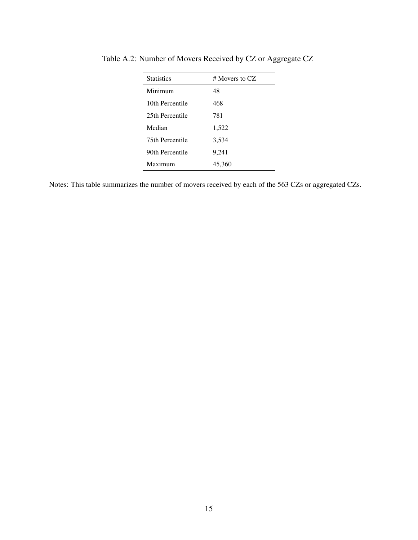| <b>Statistics</b> | $#$ Movers to CZ. |
|-------------------|-------------------|
| Minimum           | 48                |
| 10th Percentile   | 468               |
| 25th Percentile   | 781               |
| Median            | 1,522             |
| 75th Percentile   | 3,534             |
| 90th Percentile   | 9,241             |
| Maximum           | 45,360            |

Table A.2: Number of Movers Received by CZ or Aggregate CZ

Notes: This table summarizes the number of movers received by each of the 563 CZs or aggregated CZs.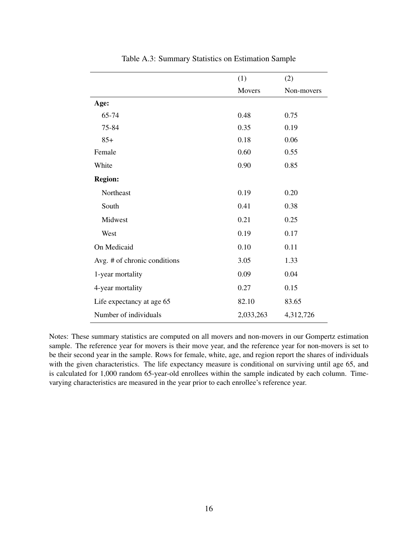|                              | (1)       | (2)        |
|------------------------------|-----------|------------|
|                              | Movers    | Non-movers |
| Age:                         |           |            |
| 65-74                        | 0.48      | 0.75       |
| 75-84                        | 0.35      | 0.19       |
| $85+$                        | 0.18      | 0.06       |
| Female                       | 0.60      | 0.55       |
| White                        | 0.90      | 0.85       |
| <b>Region:</b>               |           |            |
| Northeast                    | 0.19      | 0.20       |
| South                        | 0.41      | 0.38       |
| Midwest                      | 0.21      | 0.25       |
| West                         | 0.19      | 0.17       |
| On Medicaid                  | 0.10      | 0.11       |
| Avg. # of chronic conditions | 3.05      | 1.33       |
| 1-year mortality             | 0.09      | 0.04       |
| 4-year mortality             | 0.27      | 0.15       |
| Life expectancy at age 65    | 82.10     | 83.65      |
| Number of individuals        | 2,033,263 | 4,312,726  |

Table A.3: Summary Statistics on Estimation Sample

Notes: These summary statistics are computed on all movers and non-movers in our Gompertz estimation sample. The reference year for movers is their move year, and the reference year for non-movers is set to be their second year in the sample. Rows for female, white, age, and region report the shares of individuals with the given characteristics. The life expectancy measure is conditional on surviving until age 65, and is calculated for 1,000 random 65-year-old enrollees within the sample indicated by each column. Timevarying characteristics are measured in the year prior to each enrollee's reference year.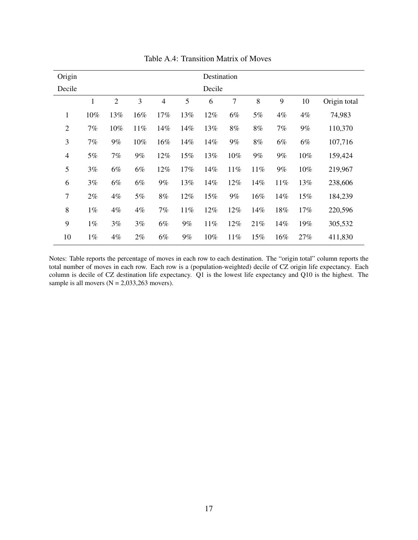| Origin         |              |                |       |                |       | Destination |       |       |       |       |              |
|----------------|--------------|----------------|-------|----------------|-------|-------------|-------|-------|-------|-------|--------------|
| Decile         |              |                |       |                |       | Decile      |       |       |       |       |              |
|                | $\mathbf{1}$ | $\overline{2}$ | 3     | $\overline{4}$ | 5     | 6           | 7     | 8     | 9     | 10    | Origin total |
| 1              | 10%          | 13%            | 16%   | 17%            | 13%   | 12%         | 6%    | 5%    | $4\%$ | $4\%$ | 74,983       |
| $\overline{2}$ | 7%           | 10%            | 11%   | 14%            | 14%   | 13%         | 8%    | 8%    | 7%    | $9\%$ | 110,370      |
| 3              | 7%           | $9\%$          | 10%   | 16%            | 14%   | 14%         | 9%    | 8%    | 6%    | 6%    | 107,716      |
| $\overline{4}$ | 5%           | 7%             | $9\%$ | 12%            | 15%   | 13%         | 10%   | $9\%$ | $9\%$ | 10%   | 159,424      |
| 5              | 3%           | 6%             | 6%    | 12%            | 17%   | 14%         | 11%   | 11%   | $9\%$ | 10%   | 219,967      |
| 6              | 3%           | 6%             | $6\%$ | $9\%$          | 13%   | 14%         | 12%   | 14%   | 11%   | 13%   | 238,606      |
| $\overline{7}$ | $2\%$        | $4\%$          | 5%    | 8%             | 12%   | 15%         | $9\%$ | 16%   | 14%   | 15%   | 184,239      |
| 8              | $1\%$        | $4\%$          | 4%    | 7%             | 11%   | 12%         | 12%   | 14%   | 18%   | 17%   | 220,596      |
| 9              | $1\%$        | 3%             | 3%    | 6%             | $9\%$ | 11%         | 12%   | 21%   | 14%   | 19%   | 305,532      |
| 10             | $1\%$        | $4\%$          | $2\%$ | 6%             | 9%    | 10%         | 11%   | 15%   | 16%   | 27%   | 411,830      |

Table A.4: Transition Matrix of Moves

Notes: Table reports the percentage of moves in each row to each destination. The "origin total" column reports the total number of moves in each row. Each row is a (population-weighted) decile of CZ origin life expectancy. Each column is decile of CZ destination life expectancy. Q1 is the lowest life expectancy and Q10 is the highest. The sample is all movers  $(N = 2,033,263$  movers).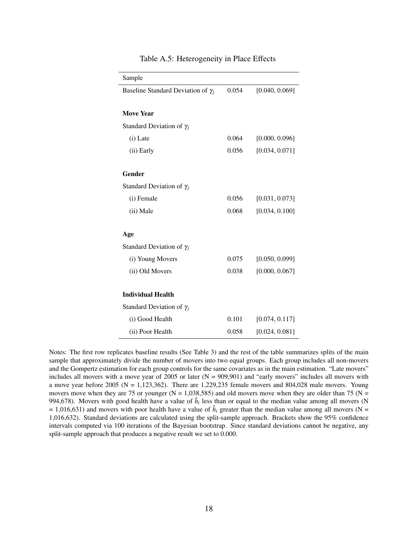| Sample                                    |       |                |
|-------------------------------------------|-------|----------------|
| Baseline Standard Deviation of $\gamma_i$ | 0.054 | [0.040, 0.069] |
|                                           |       |                |
| <b>Move Year</b>                          |       |                |
| Standard Deviation of $\gamma_i$          |       |                |
| (i) Late                                  | 0.064 | [0.000, 0.096] |
| (ii) Early                                | 0.056 | [0.034, 0.071] |
| Gender                                    |       |                |
| Standard Deviation of $\gamma_i$          |       |                |
| (i) Female                                | 0.056 | [0.031, 0.073] |
| (ii) Male                                 | 0.068 | [0.034, 0.100] |
| Age                                       |       |                |
| Standard Deviation of $\gamma_i$          |       |                |
| (i) Young Movers                          | 0.075 | [0.050, 0.099] |
| (ii) Old Movers                           | 0.038 | [0.000, 0.067] |
| <b>Individual Health</b>                  |       |                |
| Standard Deviation of $\gamma_i$          |       |                |
| (i) Good Health                           | 0.101 | [0.074, 0.117] |
| (ii) Poor Health                          | 0.058 | [0.024, 0.081] |

Table A.5: Heterogeneity in Place Effects

Notes: The first row replicates baseline results (See Table 3) and the rest of the table summarizes splits of the main sample that approximately divide the number of movers into two equal groups. Each group includes all non-movers and the Gompertz estimation for each group controls for the same covariates as in the main estimation. "Late movers" includes all movers with a move year of 2005 or later  $(N = 909,901)$  and "early movers" includes all movers with a move year before 2005 ( $N = 1,123,362$ ). There are 1,229,235 female movers and 804,028 male movers. Young movers move when they are 75 or younger ( $N = 1,038,585$ ) and old movers move when they are older than 75 ( $N =$ 994,678). Movers with good health have a value of  $\hat{h}_i$  less than or equal to the median value among all movers (N  $= 1,016,631$ ) and movers with poor health have a value of  $\hat{h}_i$  greater than the median value among all movers (N = 1,016,632). Standard deviations are calculated using the split-sample approach. Brackets show the 95% confidence intervals computed via 100 iterations of the Bayesian bootstrap. Since standard deviations cannot be negative, any split-sample approach that produces a negative result we set to 0.000.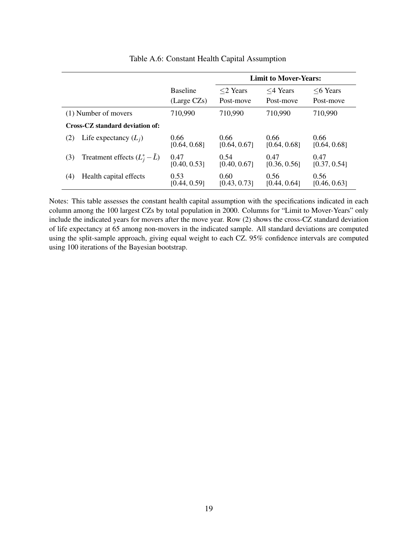|     |                                 |                                |                             | <b>Limit to Mover-Years:</b> |                         |
|-----|---------------------------------|--------------------------------|-----------------------------|------------------------------|-------------------------|
|     |                                 | <b>Baseline</b><br>(Large CZs) | $\leq$ 2 Years<br>Post-move | $\leq$ 4 Years<br>Post-move  | $<6$ Years<br>Post-move |
|     | (1) Number of movers            | 710,990                        | 710,990                     | 710,990                      | 710,990                 |
|     | Cross-CZ standard deviation of: |                                |                             |                              |                         |
| (2) | Life expectancy $(L_i)$         | 0.66<br>[0.64, 0.68]           | 0.66<br>[0.64, 0.67]        | 0.66<br>[0.64, 0.68]         | 0.66<br>[0.64, 0.68]    |
| (3) | Treatment effects $(L_i^* - L)$ | 0.47<br>[0.40, 0.53]           | 0.54<br>[0.40, 0.67]        | 0.47<br>[0.36, 0.56]         | 0.47<br>[0.37, 0.54]    |
| (4) | Health capital effects          | 0.53<br>[0.44, 0.59]           | 0.60<br>[0.43, 0.73]        | 0.56<br>[0.44, 0.64]         | 0.56<br>[0.46, 0.63]    |

#### Table A.6: Constant Health Capital Assumption

Notes: This table assesses the constant health capital assumption with the specifications indicated in each column among the 100 largest CZs by total population in 2000. Columns for "Limit to Mover-Years" only include the indicated years for movers after the move year. Row (2) shows the cross-CZ standard deviation of life expectancy at 65 among non-movers in the indicated sample. All standard deviations are computed using the split-sample approach, giving equal weight to each CZ. 95% confidence intervals are computed using 100 iterations of the Bayesian bootstrap.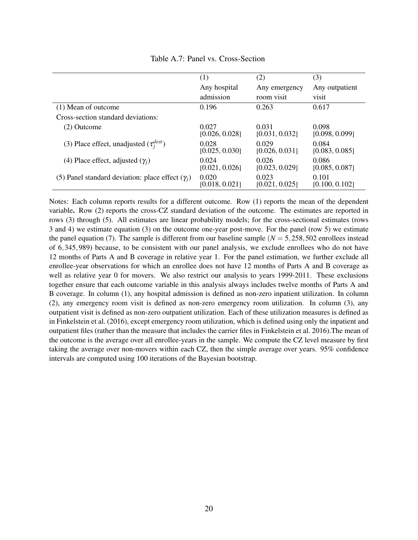|                                                         | (1)                     | (2)                     | (3)                     |
|---------------------------------------------------------|-------------------------|-------------------------|-------------------------|
|                                                         | Any hospital            | Any emergency           | Any outpatient          |
|                                                         | admission               | room visit              | visit                   |
| (1) Mean of outcome                                     | 0.196                   | 0.263                   | 0.617                   |
| Cross-section standard deviations:                      |                         |                         |                         |
| (2) Outcome                                             | 0.027<br>[0.026, 0.028] | 0.031<br>[0.031, 0.032] | 0.098<br>[0.098, 0.099] |
| (3) Place effect, unadjusted $(\tau_i^{dest})$          | 0.028<br>[0.025, 0.030] | 0.029<br>[0.026, 0.031] | 0.084<br>[0.083, 0.085] |
| (4) Place effect, adjusted $(\gamma_i)$                 | 0.024<br>[0.021, 0.026] | 0.026<br>[0.023, 0.029] | 0.086<br>[0.085, 0.087] |
| (5) Panel standard deviation: place effect $(\gamma_i)$ | 0.020<br>[0.018, 0.021] | 0.023<br>[0.021, 0.025] | 0.101<br>[0.100, 0.102] |

Table A.7: Panel vs. Cross-Section

Notes: Each column reports results for a different outcome. Row (1) reports the mean of the dependent variable. Row (2) reports the cross-CZ standard deviation of the outcome. The estimates are reported in rows (3) through (5). All estimates are linear probability models; for the cross-sectional estimates (rows 3 and 4) we estimate equation (3) on the outcome one-year post-move. For the panel (row 5) we estimate the panel equation (7). The sample is different from our baseline sample  $(N = 5,258,502$  enrollees instead of 6,345,989) because, to be consistent with our panel analysis, we exclude enrollees who do not have 12 months of Parts A and B coverage in relative year 1. For the panel estimation, we further exclude all enrollee-year observations for which an enrollee does not have 12 months of Parts A and B coverage as well as relative year 0 for movers. We also restrict our analysis to years 1999-2011. These exclusions together ensure that each outcome variable in this analysis always includes twelve months of Parts A and B coverage. In column (1), any hospital admission is defined as non-zero inpatient utilization. In column (2), any emergency room visit is defined as non-zero emergency room utilization. In column (3), any outpatient visit is defined as non-zero outpatient utilization. Each of these utilization measures is defined as in Finkelstein et al. (2016), except emergency room utilization, which is defined using only the inpatient and outpatient files (rather than the measure that includes the carrier files in Finkelstein et al. 2016).The mean of the outcome is the average over all enrollee-years in the sample. We compute the CZ level measure by first taking the average over non-movers within each CZ, then the simple average over years. 95% confidence intervals are computed using 100 iterations of the Bayesian bootstrap.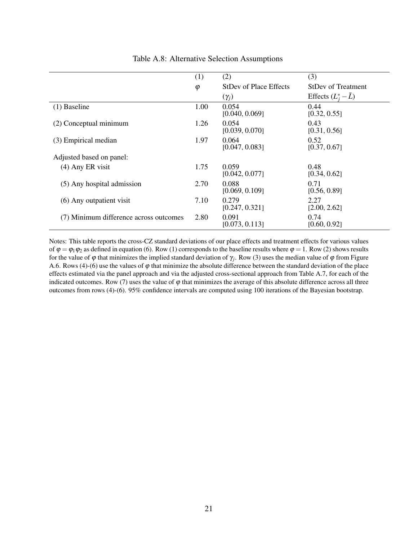|                                        | (1)       | (2)                           | (3)                         |
|----------------------------------------|-----------|-------------------------------|-----------------------------|
|                                        | $\varphi$ | <b>StDev of Place Effects</b> | <b>StDev of Treatment</b>   |
|                                        |           | $(\gamma_j)$                  | Effects $(L_i^* - \bar{L})$ |
| $(1)$ Baseline                         | 1.00      | 0.054<br>[0.040, 0.069]       | 0.44<br>[0.32, 0.55]        |
| (2) Conceptual minimum                 | 1.26      | 0.054<br>[0.039, 0.070]       | 0.43<br>[0.31, 0.56]        |
| (3) Empirical median                   | 1.97      | 0.064<br>[0.047, 0.083]       | 0.52<br>[0.37, 0.67]        |
| Adjusted based on panel:               |           |                               |                             |
| $(4)$ Any ER visit                     | 1.75      | 0.059<br>[0.042, 0.077]       | 0.48<br>[0.34, 0.62]        |
| (5) Any hospital admission             | 2.70      | 0.088<br>[0.069, 0.109]       | 0.71<br>[0.56, 0.89]        |
| (6) Any outpatient visit               | 7.10      | 0.279<br>[0.247, 0.321]       | 2.27<br>[2.00, 2.62]        |
| (7) Minimum difference across outcomes | 2.80      | 0.091<br>[0.073, 0.113]       | 0.74<br>[0.60, 0.92]        |

Table A.8: Alternative Selection Assumptions

Notes: This table reports the cross-CZ standard deviations of our place effects and treatment effects for various values of  $\varphi = \varphi_1 \varphi_2$  as defined in equation (6). Row (1) corresponds to the baseline results where  $\varphi = 1$ . Row (2) shows results for the value of  $\varphi$  that minimizes the implied standard deviation of  $\gamma_j$ . Row (3) uses the median value of  $\varphi$  from Figure A.6. Rows (4)-(6) use the values of  $\varphi$  that minimize the absolute difference between the standard deviation of the place effects estimated via the panel approach and via the adjusted cross-sectional approach from Table A.7, for each of the indicated outcomes. Row (7) uses the value of  $\varphi$  that minimizes the average of this absolute difference across all three outcomes from rows (4)-(6). 95% confidence intervals are computed using 100 iterations of the Bayesian bootstrap.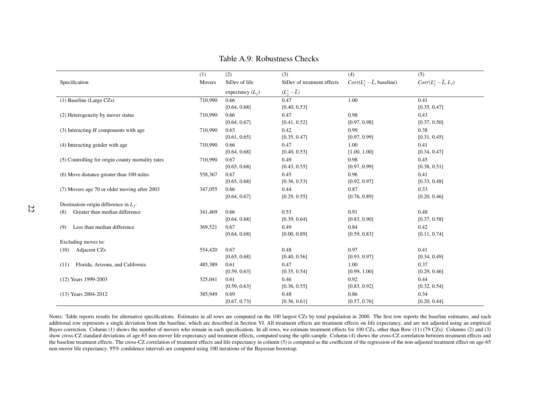|                                                   | (1)     | (2)                | (3)                        | (4)                                | (5)                        |
|---------------------------------------------------|---------|--------------------|----------------------------|------------------------------------|----------------------------|
| Specification                                     | Movers  | StDev of life      | StDev of treatment effects | $Corr(L_j^* - \bar{L}$ , baseline) | $Corr(L_j^*-\bar{L}, L_j)$ |
|                                                   |         | expectancy $(L_i)$ | $(L_i^* - \bar{L})$        |                                    |                            |
| $(1)$ Baseline (Large CZs)                        | 710,990 | 0.66               | 0.47                       | 1.00                               | 0.41                       |
|                                                   |         | [0.64, 0.68]       | [0.40, 0.53]               |                                    | [0.35, 0.47]               |
| (2) Heterogeneity by mover status                 | 710,990 | 0.66               | 0.47                       | 0.98                               | 0.43                       |
|                                                   |         | [0.64, 0.67]       | [0.41, 0.52]               | [0.97, 0.98]                       | [0.37, 0.50]               |
| $(3)$ Interacting H components with age           | 710,990 | 0.63               | 0.42                       | 0.99                               | 0.38                       |
|                                                   |         | [0.61, 0.65]       | [0.35, 0.47]               | [0.97, 0.99]                       | [0.31, 0.45]               |
| (4) Interacting gender with age                   | 710,990 | 0.66               | 0.47                       | 1.00                               | 0.41                       |
|                                                   |         | [0.64, 0.68]       | [0.40, 0.53]               | [1.00, 1.00]                       | [0.34, 0.47]               |
| (5) Controlling for origin county mortality rates | 710,990 | 0.67               | 0.49                       | 0.98                               | 0.45                       |
|                                                   |         | [0.65, 0.68]       | [0.43, 0.55]               | [0.97, 0.99]                       | [0.38, 0.51]               |
| (6) Move distance greater than 100 miles          | 558,367 | 0.67               | 0.45                       | 0.96                               | 0.41                       |
|                                                   |         | [0.65, 0.68]       | [0.36, 0.53]               | [0.92, 0.97]                       | [0.33, 0.48]               |
| (7) Movers age 70 or older moving after 2003      | 347,055 | 0.66               | 0.44                       | 0.87                               | 0.33                       |
|                                                   |         | [0.64, 0.67]       | [0.29, 0.55]               | [0.76, 0.89]                       | [0.20, 0.46]               |
| Destination-origin difference in $L_j$ :          |         |                    |                            |                                    |                            |
| Greater than median difference<br>(8)             | 341,469 | 0.66               | 0.53                       | 0.91                               | 0.48                       |
|                                                   |         | [0.64, 0.68]       | [0.39, 0.64]               | [0.83, 0.90]                       | [0.37, 0.58]               |
| Less than median difference<br>(9)                | 369,521 | 0.67               | 0.49                       | 0.84                               | 0.42                       |
|                                                   |         | [0.64, 0.68]       | [0.00, 0.89]               | [0.59, 0.83]                       | [0.11, 0.74]               |
| Excluding moves to:                               |         |                    |                            |                                    |                            |
| Adjacent CZs<br>(10)                              | 554,420 | 0.67               | 0.48                       | 0.97                               | 0.41                       |
|                                                   |         | [0.65, 0.68]       | [0.40, 0.56]               | [0.93, 0.97]                       | [0.34, 0.49]               |
| Florida, Arizona, and California<br>(11)          | 485,389 | 0.61               | 0.47                       | 1.00                               | 0.37                       |
|                                                   |         | [0.59, 0.63]       | [0.35, 0.54]               | [0.99, 1.00]                       | [0.29, 0.46]               |
| (12) Years 1999-2003                              | 325,041 | 0.61               | 0.46                       | 0.92                               | 0.44                       |
|                                                   |         | [0.59, 0.63]       | [0.36, 0.55]               | [0.83, 0.92]                       | [0.32, 0.54]               |
| (13) Years 2004-2012                              | 385,949 | 0.69               | 0.48                       | 0.86                               | 0.34                       |
|                                                   |         | [0.67, 0.73]       | [0.36, 0.61]               | [0.57, 0.76]                       | [0.20, 0.44]               |

Table A.9: Robustness Checks

Notes: Table reports results for alternative specifications. Estimates in all rows are computed on the 100 largest CZs by total population in 2000. The first row reports the baseline estimates, and each additional row represents <sup>a</sup> single deviation from the baseline, which are described in Section VI. All treatment effects are treatment effects on life expectancy, and are not adjusted using an empiricalBayes correction. Column (1) shows the number of movers who remain in each specification. In all rows, we estimate treatment effects for 100 CZs, other than Row (11) (79 CZs). Columns (2) and (3) show cross-CZ standard deviations of age-65 non-mover life expectancy and treatment effects, computed using the split-sample. Column (4) shows the cross-CZ correlation between treatment effects and the baseline treatment effects. The cross-CZ correlation of treatment effects and life expectancy in column (5) is computed as the coefficient of the regression of the non-adjusted treatment effect on age-65non-mover life expectancy. 95% confidence intervals are computed using 100 iterations of the Bayesian bootstrap.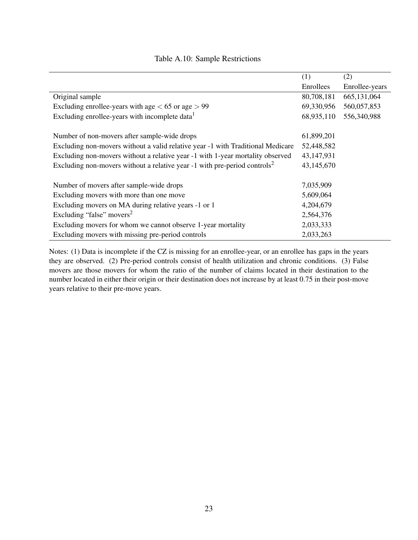|                                                                                       | (1)        | (2)            |
|---------------------------------------------------------------------------------------|------------|----------------|
|                                                                                       | Enrollees  | Enrollee-years |
| Original sample                                                                       | 80,708,181 | 665,131,064    |
| Excluding enrollee-years with age $< 65$ or age $> 99$                                | 69,330,956 | 560,057,853    |
| Excluding enrollee-years with incomplete data <sup>1</sup>                            | 68,935,110 | 556,340,988    |
|                                                                                       |            |                |
| Number of non-movers after sample-wide drops                                          | 61,899,201 |                |
| Excluding non-movers without a valid relative year -1 with Traditional Medicare       | 52,448,582 |                |
| Excluding non-movers without a relative year -1 with 1-year mortality observed        | 43,147,931 |                |
| Excluding non-movers without a relative year -1 with pre-period controls <sup>2</sup> | 43,145,670 |                |
|                                                                                       |            |                |
| Number of movers after sample-wide drops                                              | 7,035,909  |                |
| Excluding movers with more than one move                                              | 5,609,064  |                |
| Excluding movers on MA during relative years -1 or 1                                  | 4,204,679  |                |
| Excluding "false" movers <sup>2</sup>                                                 | 2,564,376  |                |
| Excluding movers for whom we cannot observe 1-year mortality                          | 2,033,333  |                |
| Excluding movers with missing pre-period controls                                     | 2,033,263  |                |

#### Table A.10: Sample Restrictions

Notes: (1) Data is incomplete if the CZ is missing for an enrollee-year, or an enrollee has gaps in the years they are observed. (2) Pre-period controls consist of health utilization and chronic conditions. (3) False movers are those movers for whom the ratio of the number of claims located in their destination to the number located in either their origin or their destination does not increase by at least 0.75 in their post-move years relative to their pre-move years.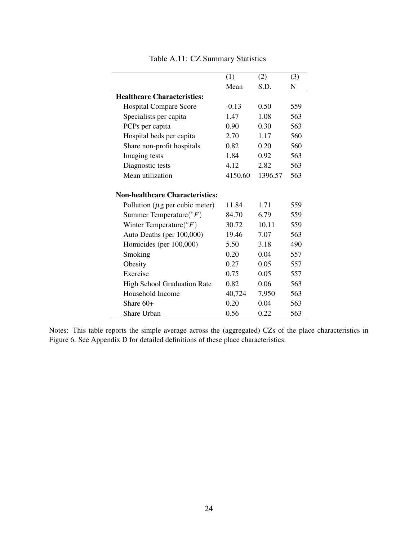|                                        | (1)     | (2)     | (3) |
|----------------------------------------|---------|---------|-----|
|                                        | Mean    | S.D.    | N   |
| <b>Healthcare Characteristics:</b>     |         |         |     |
| <b>Hospital Compare Score</b>          | $-0.13$ | 0.50    | 559 |
| Specialists per capita                 | 1.47    | 1.08    | 563 |
| PCPs per capita                        | 0.90    | 0.30    | 563 |
| Hospital beds per capita               | 2.70    | 1.17    | 560 |
| Share non-profit hospitals             | 0.82    | 0.20    | 560 |
| Imaging tests                          | 1.84    | 0.92    | 563 |
| Diagnostic tests                       | 4.12    | 2.82    | 563 |
| Mean utilization                       | 4150.60 | 1396.57 | 563 |
|                                        |         |         |     |
| <b>Non-healthcare Characteristics:</b> |         |         |     |
| Pollution ( $\mu$ g per cubic meter)   | 11.84   | 1.71    | 559 |
| Summer Temperature( ${}^{\circ}F$ )    | 84.70   | 6.79    | 559 |
| Winter Temperature( ${}^{\circ}F$ )    | 30.72   | 10.11   | 559 |
| Auto Deaths (per 100,000)              | 19.46   | 7.07    | 563 |
| Homicides (per 100,000)                | 5.50    | 3.18    | 490 |
| Smoking                                | 0.20    | 0.04    | 557 |
| Obesity                                | 0.27    | 0.05    | 557 |
| Exercise                               | 0.75    | 0.05    | 557 |
| <b>High School Graduation Rate</b>     | 0.82    | 0.06    | 563 |
| Household Income                       | 40,724  | 7,950   | 563 |
| Share $60+$                            | 0.20    | 0.04    | 563 |
| Share Urban                            | 0.56    | 0.22    | 563 |

Table A.11: CZ Summary Statistics

Notes: This table reports the simple average across the (aggregated) CZs of the place characteristics in Figure 6. See Appendix D for detailed definitions of these place characteristics.